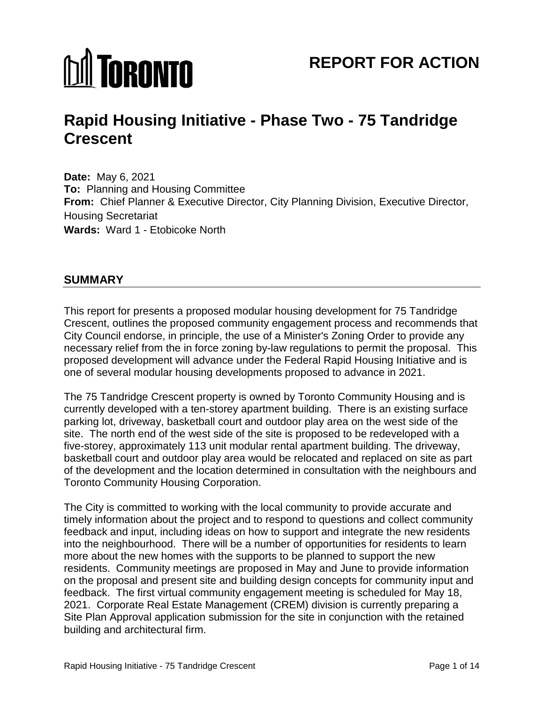# **MI TORONTO**

# **Rapid Housing Initiative - Phase Two - 75 Tandridge Crescent**

**Date:** May 6, 2021 **To:** Planning and Housing Committee **From:** Chief Planner & Executive Director, City Planning Division, Executive Director, Housing Secretariat **Wards:** Ward 1 - Etobicoke North

# **SUMMARY**

This report for presents a proposed modular housing development for 75 Tandridge Crescent, outlines the proposed community engagement process and recommends that City Council endorse, in principle, the use of a Minister's Zoning Order to provide any necessary relief from the in force zoning by-law regulations to permit the proposal. This proposed development will advance under the Federal Rapid Housing Initiative and is one of several modular housing developments proposed to advance in 2021.

The 75 Tandridge Crescent property is owned by Toronto Community Housing and is currently developed with a ten-storey apartment building. There is an existing surface parking lot, driveway, basketball court and outdoor play area on the west side of the site. The north end of the west side of the site is proposed to be redeveloped with a five-storey, approximately 113 unit modular rental apartment building. The driveway, basketball court and outdoor play area would be relocated and replaced on site as part of the development and the location determined in consultation with the neighbours and Toronto Community Housing Corporation.

The City is committed to working with the local community to provide accurate and timely information about the project and to respond to questions and collect community feedback and input, including ideas on how to support and integrate the new residents into the neighbourhood. There will be a number of opportunities for residents to learn more about the new homes with the supports to be planned to support the new residents. Community meetings are proposed in May and June to provide information on the proposal and present site and building design concepts for community input and feedback. The first virtual community engagement meeting is scheduled for May 18, 2021. Corporate Real Estate Management (CREM) division is currently preparing a Site Plan Approval application submission for the site in conjunction with the retained building and architectural firm.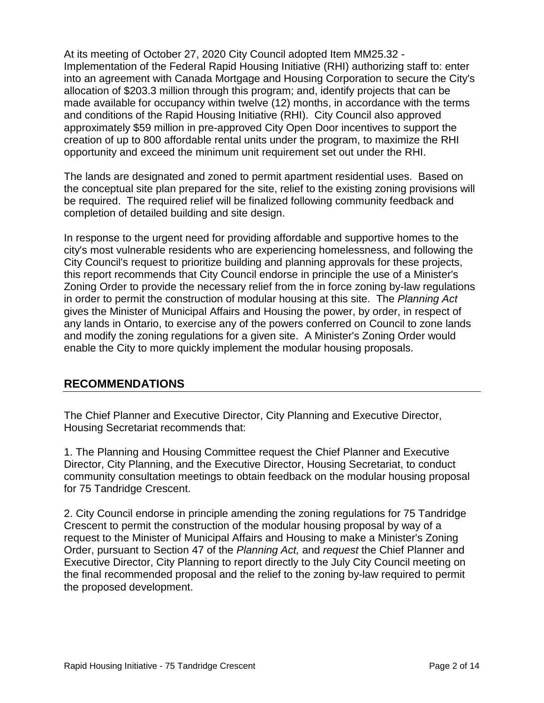At its meeting of October 27, 2020 City Council adopted Item MM25.32 - Implementation of the Federal Rapid Housing Initiative (RHI) authorizing staff to: enter into an agreement with Canada Mortgage and Housing Corporation to secure the City's allocation of \$203.3 million through this program; and, identify projects that can be made available for occupancy within twelve (12) months, in accordance with the terms and conditions of the Rapid Housing Initiative (RHI). City Council also approved approximately \$59 million in pre-approved City Open Door incentives to support the creation of up to 800 affordable rental units under the program, to maximize the RHI opportunity and exceed the minimum unit requirement set out under the RHI.

The lands are designated and zoned to permit apartment residential uses. Based on the conceptual site plan prepared for the site, relief to the existing zoning provisions will be required. The required relief will be finalized following community feedback and completion of detailed building and site design.

In response to the urgent need for providing affordable and supportive homes to the city's most vulnerable residents who are experiencing homelessness, and following the City Council's request to prioritize building and planning approvals for these projects, this report recommends that City Council endorse in principle the use of a Minister's Zoning Order to provide the necessary relief from the in force zoning by-law regulations in order to permit the construction of modular housing at this site. The *Planning Act* gives the Minister of Municipal Affairs and Housing the power, by order, in respect of any lands in Ontario, to exercise any of the powers conferred on Council to zone lands and modify the zoning regulations for a given site. A Minister's Zoning Order would enable the City to more quickly implement the modular housing proposals.

# **RECOMMENDATIONS**

The Chief Planner and Executive Director, City Planning and Executive Director, Housing Secretariat recommends that:

1. The Planning and Housing Committee request the Chief Planner and Executive Director, City Planning, and the Executive Director, Housing Secretariat, to conduct community consultation meetings to obtain feedback on the modular housing proposal for 75 Tandridge Crescent.

2. City Council endorse in principle amending the zoning regulations for 75 Tandridge Crescent to permit the construction of the modular housing proposal by way of a request to the Minister of Municipal Affairs and Housing to make a Minister's Zoning Order, pursuant to Section 47 of the *Planning Act,* and *request* the Chief Planner and Executive Director, City Planning to report directly to the July City Council meeting on the final recommended proposal and the relief to the zoning by-law required to permit the proposed development.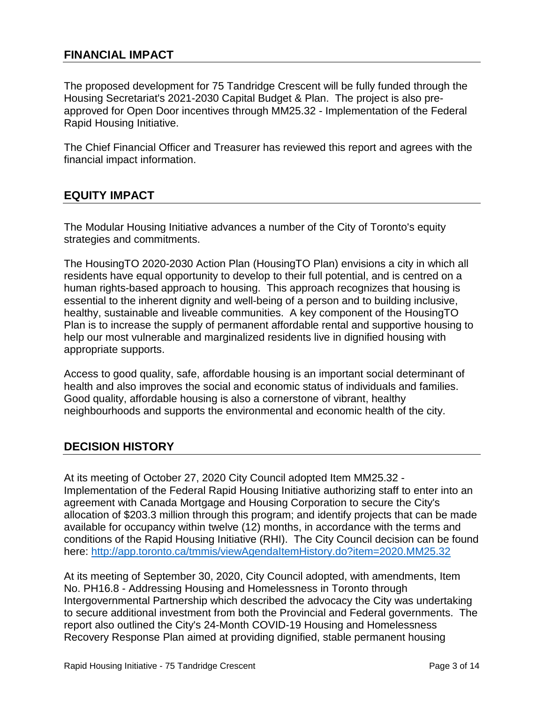# **FINANCIAL IMPACT**

The proposed development for 75 Tandridge Crescent will be fully funded through the Housing Secretariat's 2021-2030 Capital Budget & Plan. The project is also preapproved for Open Door incentives through MM25.32 - Implementation of the Federal Rapid Housing Initiative.

The Chief Financial Officer and Treasurer has reviewed this report and agrees with the financial impact information.

# **EQUITY IMPACT**

The Modular Housing Initiative advances a number of the City of Toronto's equity strategies and commitments.

The HousingTO 2020-2030 Action Plan (HousingTO Plan) envisions a city in which all residents have equal opportunity to develop to their full potential, and is centred on a human rights-based approach to housing. This approach recognizes that housing is essential to the inherent dignity and well-being of a person and to building inclusive, healthy, sustainable and liveable communities. A key component of the HousingTO Plan is to increase the supply of permanent affordable rental and supportive housing to help our most vulnerable and marginalized residents live in dignified housing with appropriate supports.

Access to good quality, safe, affordable housing is an important social determinant of health and also improves the social and economic status of individuals and families. Good quality, affordable housing is also a cornerstone of vibrant, healthy neighbourhoods and supports the environmental and economic health of the city.

# **DECISION HISTORY**

At its meeting of October 27, 2020 City Council adopted Item MM25.32 - Implementation of the Federal Rapid Housing Initiative authorizing staff to enter into an agreement with Canada Mortgage and Housing Corporation to secure the City's allocation of \$203.3 million through this program; and identify projects that can be made available for occupancy within twelve (12) months, in accordance with the terms and conditions of the Rapid Housing Initiative (RHI). The City Council decision can be found here: http://app.toronto.ca/tmmis/viewAgendaItemHistory.do?item=2020.MM25.32

At its meeting of September 30, 2020, City Council adopted, with amendments, Item No. PH16.8 - Addressing Housing and Homelessness in Toronto through Intergovernmental Partnership which described the advocacy the City was undertaking to secure additional investment from both the Provincial and Federal governments. The report also outlined the City's 24-Month COVID-19 Housing and Homelessness Recovery Response Plan aimed at providing dignified, stable permanent housing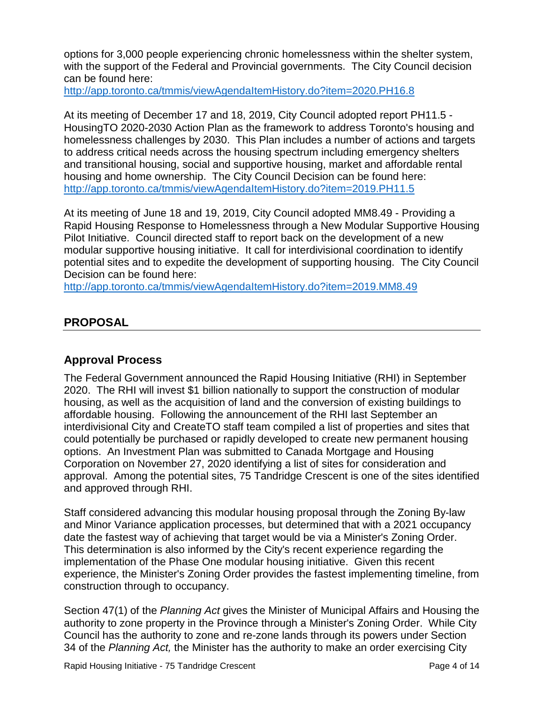options for 3,000 people experiencing chronic homelessness within the shelter system, with the support of the Federal and Provincial governments. The City Council decision can be found here:

<http://app.toronto.ca/tmmis/viewAgendaItemHistory.do?item=2020.PH16.8>

At its meeting of December 17 and 18, 2019, City Council adopted report PH11.5 - HousingTO 2020-2030 Action Plan as the framework to address Toronto's housing and homelessness challenges by 2030. This Plan includes a number of actions and targets to address critical needs across the housing spectrum including emergency shelters and transitional housing, social and supportive housing, market and affordable rental housing and home ownership. The City Council Decision can be found here: <http://app.toronto.ca/tmmis/viewAgendaItemHistory.do?item=2019.PH11.5>

At its meeting of June 18 and 19, 2019, City Council adopted MM8.49 - Providing a Rapid Housing Response to Homelessness through a New Modular Supportive Housing Pilot Initiative. Council directed staff to report back on the development of a new modular supportive housing initiative. It call for interdivisional coordination to identify potential sites and to expedite the development of supporting housing. The City Council Decision can be found here:

<http://app.toronto.ca/tmmis/viewAgendaItemHistory.do?item=2019.MM8.49>

# **PROPOSAL**

# **Approval Process**

The Federal Government announced the Rapid Housing Initiative (RHI) in September 2020. The RHI will invest \$1 billion nationally to support the construction of modular housing, as well as the acquisition of land and the conversion of existing buildings to affordable housing. Following the announcement of the RHI last September an interdivisional City and CreateTO staff team compiled a list of properties and sites that could potentially be purchased or rapidly developed to create new permanent housing options. An Investment Plan was submitted to Canada Mortgage and Housing Corporation on November 27, 2020 identifying a list of sites for consideration and approval. Among the potential sites, 75 Tandridge Crescent is one of the sites identified and approved through RHI.

Staff considered advancing this modular housing proposal through the Zoning By-law and Minor Variance application processes, but determined that with a 2021 occupancy date the fastest way of achieving that target would be via a Minister's Zoning Order. This determination is also informed by the City's recent experience regarding the implementation of the Phase One modular housing initiative. Given this recent experience, the Minister's Zoning Order provides the fastest implementing timeline, from construction through to occupancy.

Section 47(1) of the *Planning Act* gives the Minister of Municipal Affairs and Housing the authority to zone property in the Province through a Minister's Zoning Order. While City Council has the authority to zone and re-zone lands through its powers under Section 34 of the *Planning Act,* the Minister has the authority to make an order exercising City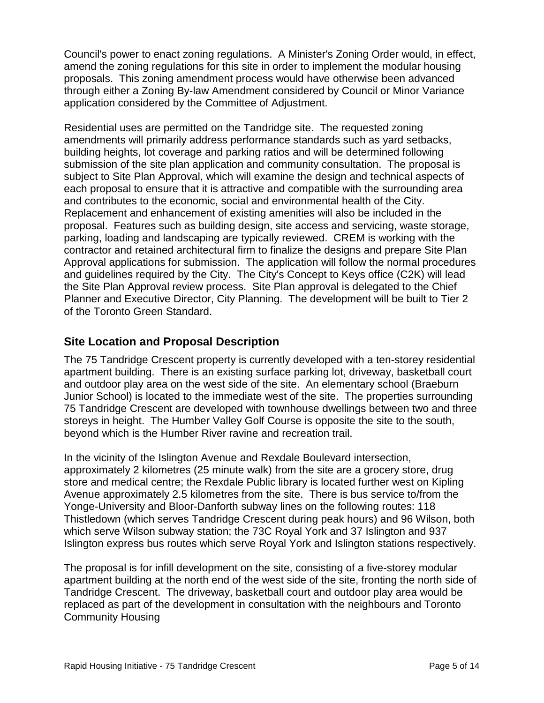Council's power to enact zoning regulations. A Minister's Zoning Order would, in effect, amend the zoning regulations for this site in order to implement the modular housing proposals. This zoning amendment process would have otherwise been advanced through either a Zoning By-law Amendment considered by Council or Minor Variance application considered by the Committee of Adjustment.

Residential uses are permitted on the Tandridge site. The requested zoning amendments will primarily address performance standards such as yard setbacks, building heights, lot coverage and parking ratios and will be determined following submission of the site plan application and community consultation. The proposal is subject to Site Plan Approval, which will examine the design and technical aspects of each proposal to ensure that it is attractive and compatible with the surrounding area and contributes to the economic, social and environmental health of the City. Replacement and enhancement of existing amenities will also be included in the proposal. Features such as building design, site access and servicing, waste storage, parking, loading and landscaping are typically reviewed. CREM is working with the contractor and retained architectural firm to finalize the designs and prepare Site Plan Approval applications for submission. The application will follow the normal procedures and guidelines required by the City. The City's Concept to Keys office (C2K) will lead the Site Plan Approval review process. Site Plan approval is delegated to the Chief Planner and Executive Director, City Planning. The development will be built to Tier 2 of the Toronto Green Standard.

# **Site Location and Proposal Description**

The 75 Tandridge Crescent property is currently developed with a ten-storey residential apartment building. There is an existing surface parking lot, driveway, basketball court and outdoor play area on the west side of the site. An elementary school (Braeburn Junior School) is located to the immediate west of the site. The properties surrounding 75 Tandridge Crescent are developed with townhouse dwellings between two and three storeys in height. The Humber Valley Golf Course is opposite the site to the south, beyond which is the Humber River ravine and recreation trail.

In the vicinity of the Islington Avenue and Rexdale Boulevard intersection, approximately 2 kilometres (25 minute walk) from the site are a grocery store, drug store and medical centre; the Rexdale Public library is located further west on Kipling Avenue approximately 2.5 kilometres from the site. There is bus service to/from the Yonge-University and Bloor-Danforth subway lines on the following routes: 118 Thistledown (which serves Tandridge Crescent during peak hours) and 96 Wilson, both which serve Wilson subway station; the 73C Royal York and 37 Islington and 937 Islington express bus routes which serve Royal York and Islington stations respectively.

The proposal is for infill development on the site, consisting of a five-storey modular apartment building at the north end of the west side of the site, fronting the north side of Tandridge Crescent. The driveway, basketball court and outdoor play area would be replaced as part of the development in consultation with the neighbours and Toronto Community Housing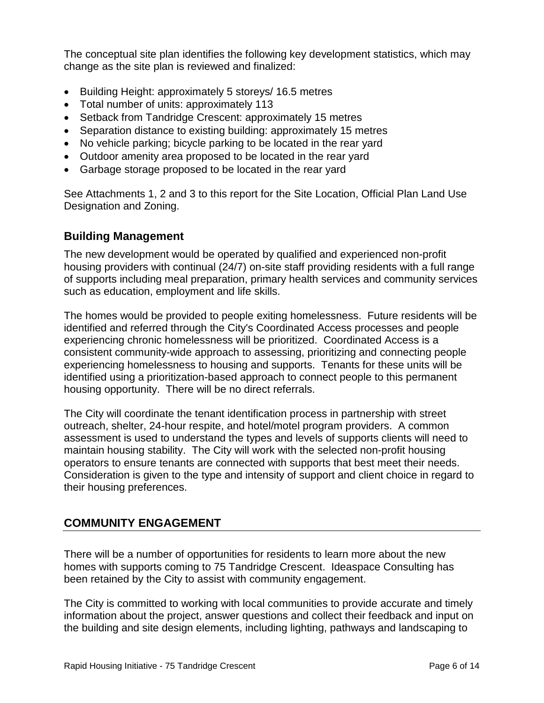The conceptual site plan identifies the following key development statistics, which may change as the site plan is reviewed and finalized:

- Building Height: approximately 5 storeys/ 16.5 metres
- Total number of units: approximately 113
- Setback from Tandridge Crescent: approximately 15 metres
- Separation distance to existing building: approximately 15 metres
- No vehicle parking; bicycle parking to be located in the rear yard
- Outdoor amenity area proposed to be located in the rear yard
- Garbage storage proposed to be located in the rear yard

See Attachments 1, 2 and 3 to this report for the Site Location, Official Plan Land Use Designation and Zoning.

# **Building Management**

The new development would be operated by qualified and experienced non-profit housing providers with continual (24/7) on-site staff providing residents with a full range of supports including meal preparation, primary health services and community services such as education, employment and life skills.

The homes would be provided to people exiting homelessness. Future residents will be identified and referred through the City's Coordinated Access processes and people experiencing chronic homelessness will be prioritized. Coordinated Access is a consistent community-wide approach to assessing, prioritizing and connecting people experiencing homelessness to housing and supports. Tenants for these units will be identified using a prioritization-based approach to connect people to this permanent housing opportunity. There will be no direct referrals.

The City will coordinate the tenant identification process in partnership with street outreach, shelter, 24-hour respite, and hotel/motel program providers. A common assessment is used to understand the types and levels of supports clients will need to maintain housing stability. The City will work with the selected non-profit housing operators to ensure tenants are connected with supports that best meet their needs. Consideration is given to the type and intensity of support and client choice in regard to their housing preferences.

# **COMMUNITY ENGAGEMENT**

There will be a number of opportunities for residents to learn more about the new homes with supports coming to 75 Tandridge Crescent. Ideaspace Consulting has been retained by the City to assist with community engagement.

The City is committed to working with local communities to provide accurate and timely information about the project, answer questions and collect their feedback and input on the building and site design elements, including lighting, pathways and landscaping to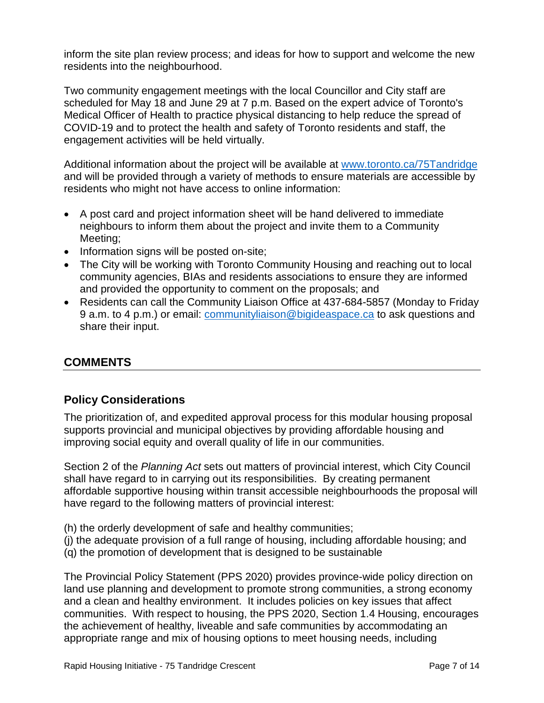inform the site plan review process; and ideas for how to support and welcome the new residents into the neighbourhood.

Two community engagement meetings with the local Councillor and City staff are scheduled for May 18 and June 29 at 7 p.m. Based on the expert advice of Toronto's Medical Officer of Health to practice physical distancing to help reduce the spread of COVID-19 and to protect the health and safety of Toronto residents and staff, the engagement activities will be held virtually.

Additional information about the project will be available at [www.toronto.ca/75Tandridge](http://www.toronto.ca/75Tandridge) and will be provided through a variety of methods to ensure materials are accessible by residents who might not have access to online information:

- A post card and project information sheet will be hand delivered to immediate neighbours to inform them about the project and invite them to a Community Meeting;
- Information signs will be posted on-site;
- The City will be working with Toronto Community Housing and reaching out to local community agencies, BIAs and residents associations to ensure they are informed and provided the opportunity to comment on the proposals; and
- Residents can call the Community Liaison Office at 437-684-5857 (Monday to Friday 9 a.m. to 4 p.m.) or email: [communityliaison@bigideaspace.ca](mailto:communityliaison@bigideaspace.ca) to ask questions and share their input.

# **COMMENTS**

# **Policy Considerations**

The prioritization of, and expedited approval process for this modular housing proposal supports provincial and municipal objectives by providing affordable housing and improving social equity and overall quality of life in our communities.

Section 2 of the *Planning Act* sets out matters of provincial interest, which City Council shall have regard to in carrying out its responsibilities. By creating permanent affordable supportive housing within transit accessible neighbourhoods the proposal will have regard to the following matters of provincial interest:

- (h) the orderly development of safe and healthy communities;
- (j) the adequate provision of a full range of housing, including affordable housing; and
- (q) the promotion of development that is designed to be sustainable

The Provincial Policy Statement (PPS 2020) provides province-wide policy direction on land use planning and development to promote strong communities, a strong economy and a clean and healthy environment. It includes policies on key issues that affect communities. With respect to housing, the PPS 2020, Section 1.4 Housing, encourages the achievement of healthy, liveable and safe communities by accommodating an appropriate range and mix of housing options to meet housing needs, including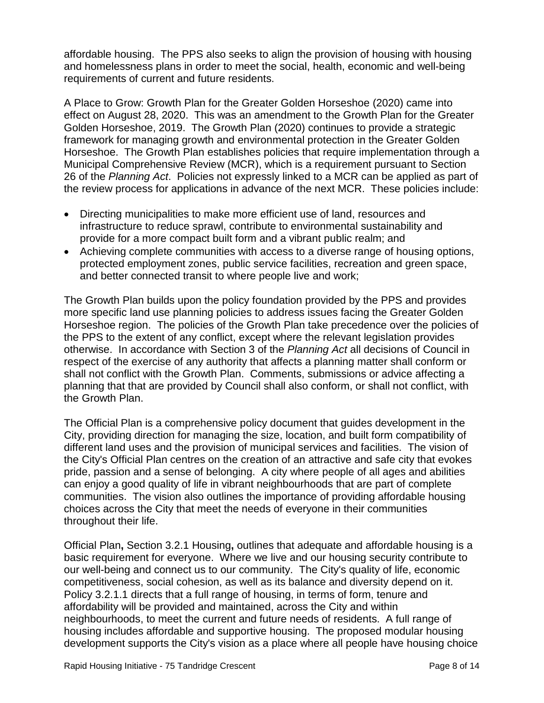affordable housing. The PPS also seeks to align the provision of housing with housing and homelessness plans in order to meet the social, health, economic and well-being requirements of current and future residents.

A Place to Grow: Growth Plan for the Greater Golden Horseshoe (2020) came into effect on August 28, 2020. This was an amendment to the Growth Plan for the Greater Golden Horseshoe, 2019. The Growth Plan (2020) continues to provide a strategic framework for managing growth and environmental protection in the Greater Golden Horseshoe. The Growth Plan establishes policies that require implementation through a Municipal Comprehensive Review (MCR), which is a requirement pursuant to Section 26 of the *Planning Act*. Policies not expressly linked to a MCR can be applied as part of the review process for applications in advance of the next MCR. These policies include:

- Directing municipalities to make more efficient use of land, resources and infrastructure to reduce sprawl, contribute to environmental sustainability and provide for a more compact built form and a vibrant public realm; and
- Achieving complete communities with access to a diverse range of housing options, protected employment zones, public service facilities, recreation and green space, and better connected transit to where people live and work;

The Growth Plan builds upon the policy foundation provided by the PPS and provides more specific land use planning policies to address issues facing the Greater Golden Horseshoe region. The policies of the Growth Plan take precedence over the policies of the PPS to the extent of any conflict, except where the relevant legislation provides otherwise. In accordance with Section 3 of the *Planning Act* all decisions of Council in respect of the exercise of any authority that affects a planning matter shall conform or shall not conflict with the Growth Plan. Comments, submissions or advice affecting a planning that that are provided by Council shall also conform, or shall not conflict, with the Growth Plan.

The Official Plan is a comprehensive policy document that guides development in the City, providing direction for managing the size, location, and built form compatibility of different land uses and the provision of municipal services and facilities. The vision of the City's Official Plan centres on the creation of an attractive and safe city that evokes pride, passion and a sense of belonging. A city where people of all ages and abilities can enjoy a good quality of life in vibrant neighbourhoods that are part of complete communities. The vision also outlines the importance of providing affordable housing choices across the City that meet the needs of everyone in their communities throughout their life.

Official Plan**,** Section 3.2.1 Housing**,** outlines that adequate and affordable housing is a basic requirement for everyone. Where we live and our housing security contribute to our well-being and connect us to our community. The City's quality of life, economic competitiveness, social cohesion, as well as its balance and diversity depend on it. Policy 3.2.1.1 directs that a full range of housing, in terms of form, tenure and affordability will be provided and maintained, across the City and within neighbourhoods, to meet the current and future needs of residents. A full range of housing includes affordable and supportive housing. The proposed modular housing development supports the City's vision as a place where all people have housing choice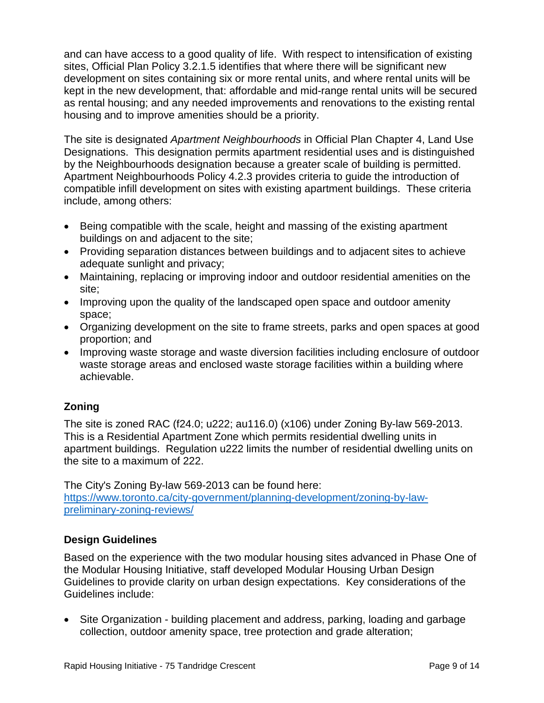and can have access to a good quality of life. With respect to intensification of existing sites, Official Plan Policy 3.2.1.5 identifies that where there will be significant new development on sites containing six or more rental units, and where rental units will be kept in the new development, that: affordable and mid-range rental units will be secured as rental housing; and any needed improvements and renovations to the existing rental housing and to improve amenities should be a priority.

The site is designated *Apartment Neighbourhoods* in Official Plan Chapter 4, Land Use Designations. This designation permits apartment residential uses and is distinguished by the Neighbourhoods designation because a greater scale of building is permitted. Apartment Neighbourhoods Policy 4.2.3 provides criteria to guide the introduction of compatible infill development on sites with existing apartment buildings. These criteria include, among others:

- Being compatible with the scale, height and massing of the existing apartment buildings on and adjacent to the site;
- Providing separation distances between buildings and to adjacent sites to achieve adequate sunlight and privacy;
- Maintaining, replacing or improving indoor and outdoor residential amenities on the site;
- Improving upon the quality of the landscaped open space and outdoor amenity space;
- Organizing development on the site to frame streets, parks and open spaces at good proportion; and
- Improving waste storage and waste diversion facilities including enclosure of outdoor waste storage areas and enclosed waste storage facilities within a building where achievable.

# **Zoning**

The site is zoned RAC (f24.0; u222; au116.0) (x106) under Zoning By-law 569-2013. This is a Residential Apartment Zone which permits residential dwelling units in apartment buildings. Regulation u222 limits the number of residential dwelling units on the site to a maximum of 222.

The City's Zoning By-law 569-2013 can be found here: [https://www.toronto.ca/city-government/planning-development/zoning-by-law](https://www.toronto.ca/city-government/planning-development/zoning-by-law-preliminary-zoning-reviews/)[preliminary-zoning-reviews/](https://www.toronto.ca/city-government/planning-development/zoning-by-law-preliminary-zoning-reviews/)

# **Design Guidelines**

Based on the experience with the two modular housing sites advanced in Phase One of the Modular Housing Initiative, staff developed Modular Housing Urban Design Guidelines to provide clarity on urban design expectations. Key considerations of the Guidelines include:

• Site Organization - building placement and address, parking, loading and garbage collection, outdoor amenity space, tree protection and grade alteration;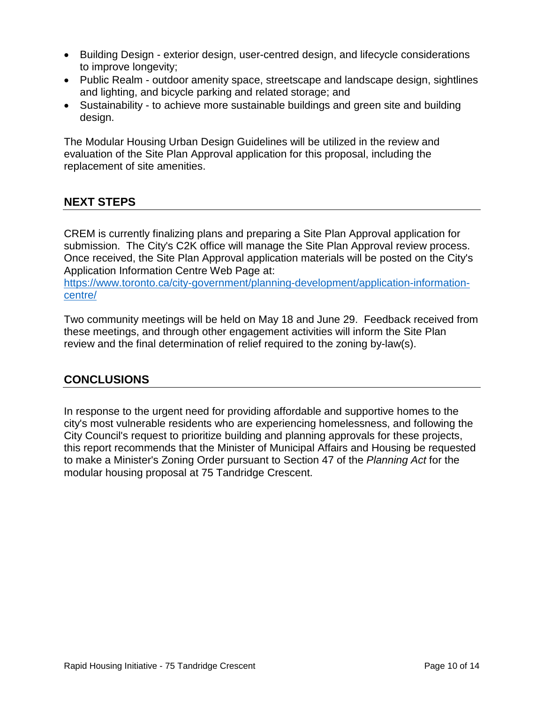- Building Design exterior design, user-centred design, and lifecycle considerations to improve longevity;
- Public Realm outdoor amenity space, streetscape and landscape design, sightlines and lighting, and bicycle parking and related storage; and
- Sustainability to achieve more sustainable buildings and green site and building design.

The Modular Housing Urban Design Guidelines will be utilized in the review and evaluation of the Site Plan Approval application for this proposal, including the replacement of site amenities.

# **NEXT STEPS**

CREM is currently finalizing plans and preparing a Site Plan Approval application for submission. The City's C2K office will manage the Site Plan Approval review process. Once received, the Site Plan Approval application materials will be posted on the City's Application Information Centre Web Page at:

https://www.toronto.ca/city-government/planning-development/application-informationcentre/

Two community meetings will be held on May 18 and June 29. Feedback received from these meetings, and through other engagement activities will inform the Site Plan review and the final determination of relief required to the zoning by-law(s).

# **CONCLUSIONS**

In response to the urgent need for providing affordable and supportive homes to the city's most vulnerable residents who are experiencing homelessness, and following the City Council's request to prioritize building and planning approvals for these projects, this report recommends that the Minister of Municipal Affairs and Housing be requested to make a Minister's Zoning Order pursuant to Section 47 of the *Planning Act* for the modular housing proposal at 75 Tandridge Crescent.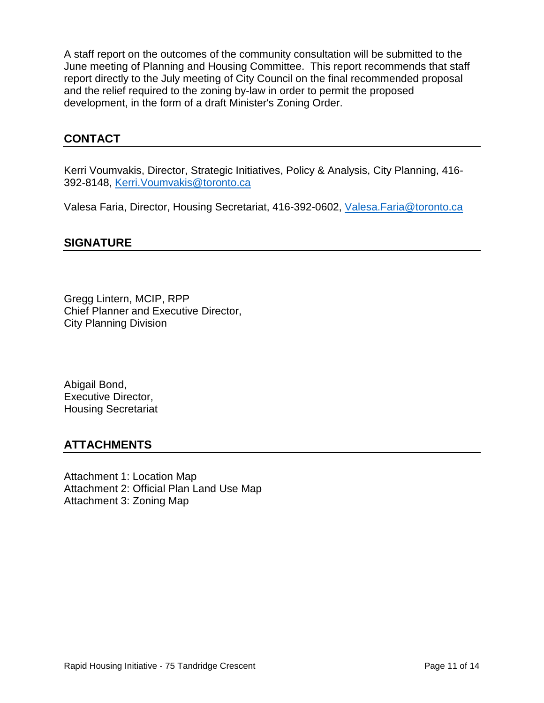A staff report on the outcomes of the community consultation will be submitted to the June meeting of Planning and Housing Committee. This report recommends that staff report directly to the July meeting of City Council on the final recommended proposal and the relief required to the zoning by-law in order to permit the proposed development, in the form of a draft Minister's Zoning Order.

# **CONTACT**

Kerri Voumvakis, Director, Strategic Initiatives, Policy & Analysis, City Planning, 416- 392-8148, [Kerri.Voumvakis@toronto.ca](mailto:Kerri.Voumvakis@toronto.ca)

Valesa Faria, Director, Housing Secretariat, 416-392-0602, [Valesa.Faria@toronto.ca](mailto:Valesa.Faria@toronto.ca)

#### **SIGNATURE**

Gregg Lintern, MCIP, RPP Chief Planner and Executive Director, City Planning Division

Abigail Bond, Executive Director, Housing Secretariat

#### **ATTACHMENTS**

Attachment 1: Location Map Attachment 2: Official Plan Land Use Map Attachment 3: Zoning Map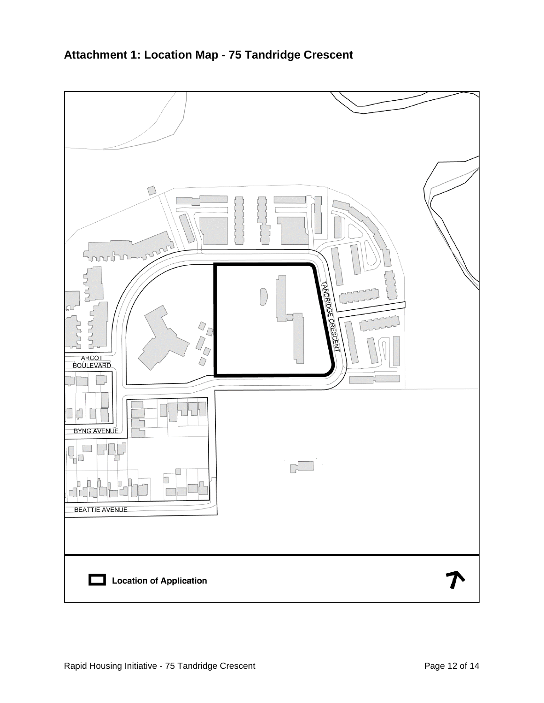

# **Attachment 1: Location Map - 75 Tandridge Crescent**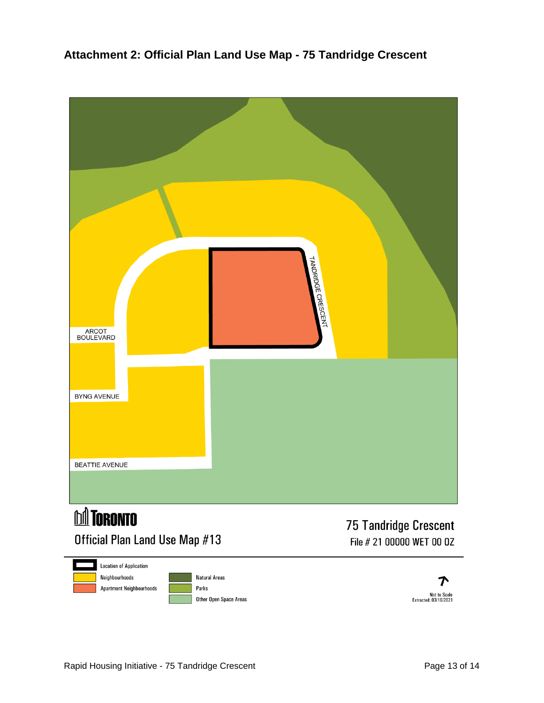